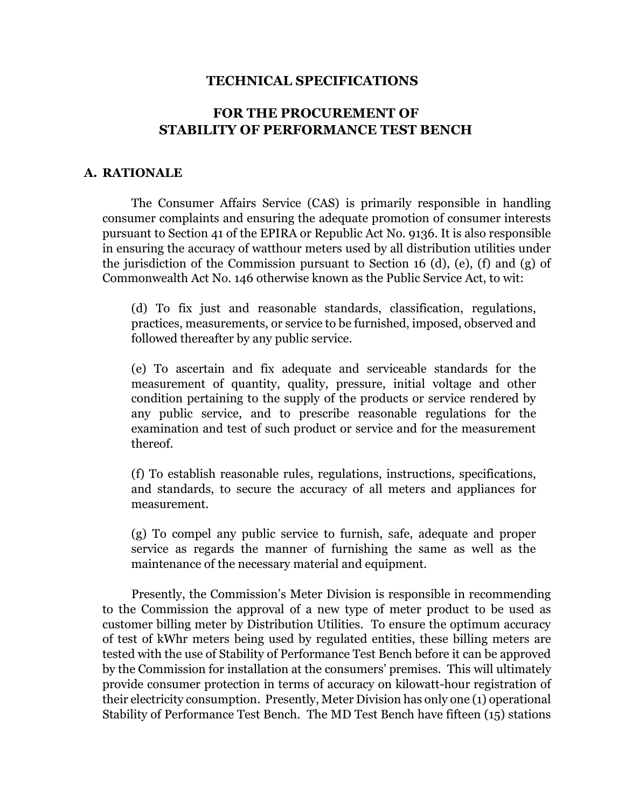#### **TECHNICAL SPECIFICATIONS**

## **FOR THE PROCUREMENT OF STABILITY OF PERFORMANCE TEST BENCH**

#### **A. RATIONALE**

The Consumer Affairs Service (CAS) is primarily responsible in handling consumer complaints and ensuring the adequate promotion of consumer interests pursuant to Section 41 of the EPIRA or Republic Act No. 9136. It is also responsible in ensuring the accuracy of watthour meters used by all distribution utilities under the jurisdiction of the Commission pursuant to Section 16 (d), (e), (f) and (g) of Commonwealth Act No. 146 otherwise known as the Public Service Act, to wit:

(d) To fix just and reasonable standards, classification, regulations, practices, measurements, or service to be furnished, imposed, observed and followed thereafter by any public service.

(e) To ascertain and fix adequate and serviceable standards for the measurement of quantity, quality, pressure, initial voltage and other condition pertaining to the supply of the products or service rendered by any public service, and to prescribe reasonable regulations for the examination and test of such product or service and for the measurement thereof.

(f) To establish reasonable rules, regulations, instructions, specifications, and standards, to secure the accuracy of all meters and appliances for measurement.

(g) To compel any public service to furnish, safe, adequate and proper service as regards the manner of furnishing the same as well as the maintenance of the necessary material and equipment.

Presently, the Commission's Meter Division is responsible in recommending to the Commission the approval of a new type of meter product to be used as customer billing meter by Distribution Utilities. To ensure the optimum accuracy of test of kWhr meters being used by regulated entities, these billing meters are tested with the use of Stability of Performance Test Bench before it can be approved by the Commission for installation at the consumers' premises. This will ultimately provide consumer protection in terms of accuracy on kilowatt-hour registration of their electricity consumption. Presently, Meter Division has only one (1) operational Stability of Performance Test Bench. The MD Test Bench have fifteen (15) stations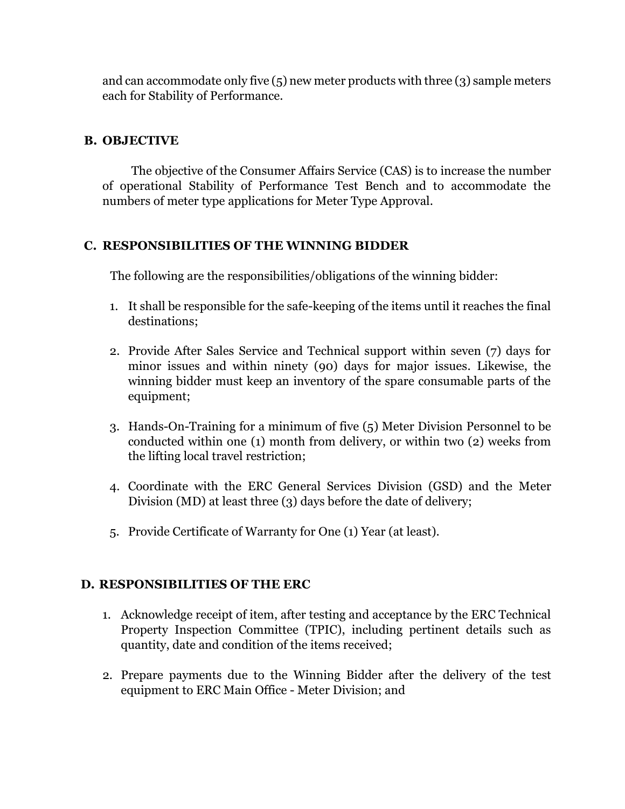and can accommodate only five  $(5)$  new meter products with three  $(3)$  sample meters each for Stability of Performance.

## **B. OBJECTIVE**

The objective of the Consumer Affairs Service (CAS) is to increase the number of operational Stability of Performance Test Bench and to accommodate the numbers of meter type applications for Meter Type Approval.

# **C. RESPONSIBILITIES OF THE WINNING BIDDER**

The following are the responsibilities/obligations of the winning bidder:

- 1. It shall be responsible for the safe-keeping of the items until it reaches the final destinations;
- 2. Provide After Sales Service and Technical support within seven (7) days for minor issues and within ninety (90) days for major issues. Likewise, the winning bidder must keep an inventory of the spare consumable parts of the equipment;
- 3. Hands-On-Training for a minimum of five (5) Meter Division Personnel to be conducted within one (1) month from delivery, or within two (2) weeks from the lifting local travel restriction;
- 4. Coordinate with the ERC General Services Division (GSD) and the Meter Division (MD) at least three (3) days before the date of delivery;
- 5. Provide Certificate of Warranty for One (1) Year (at least).

### **D. RESPONSIBILITIES OF THE ERC**

- 1. Acknowledge receipt of item, after testing and acceptance by the ERC Technical Property Inspection Committee (TPIC), including pertinent details such as quantity, date and condition of the items received;
- 2. Prepare payments due to the Winning Bidder after the delivery of the test equipment to ERC Main Office - Meter Division; and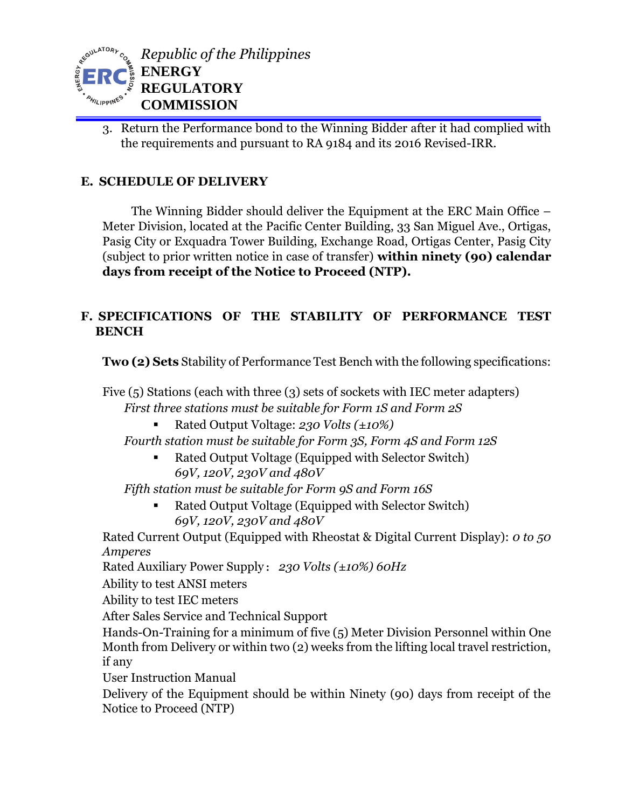

3. Return the Performance bond to the Winning Bidder after it had complied with the requirements and pursuant to RA 9184 and its 2016 Revised-IRR.

# **E. SCHEDULE OF DELIVERY**

The Winning Bidder should deliver the Equipment at the ERC Main Office – Meter Division, located at the Pacific Center Building, 33 San Miguel Ave., Ortigas, Pasig City or Exquadra Tower Building, Exchange Road, Ortigas Center, Pasig City (subject to prior written notice in case of transfer) **within ninety (90) calendar days from receipt of the Notice to Proceed (NTP).**

# **F. SPECIFICATIONS OF THE STABILITY OF PERFORMANCE TEST BENCH**

**Two (2) Sets** Stability of Performance Test Bench with the following specifications:

Five (5) Stations (each with three (3) sets of sockets with IEC meter adapters) *First three stations must be suitable for Form 1S and Form 2S* 

Rated Output Voltage: *230 Volts (±10%)*

*Fourth station must be suitable for Form 3S, Form 4S and Form 12S* 

■ Rated Output Voltage (Equipped with Selector Switch) *69V, 120V, 230V and 480V* 

*Fifth station must be suitable for Form 9S and Form 16S* 

 Rated Output Voltage (Equipped with Selector Switch) *69V, 120V, 230V and 480V* 

Rated Current Output (Equipped with Rheostat & Digital Current Display): *0 to 50 Amperes* 

Rated Auxiliary Power Supply: *230 Volts (±10%) 60Hz*

Ability to test ANSI meters

Ability to test IEC meters

After Sales Service and Technical Support

Hands-On-Training for a minimum of five (5) Meter Division Personnel within One Month from Delivery or within two (2) weeks from the lifting local travel restriction, if any

User Instruction Manual

Delivery of the Equipment should be within Ninety (90) days from receipt of the Notice to Proceed (NTP)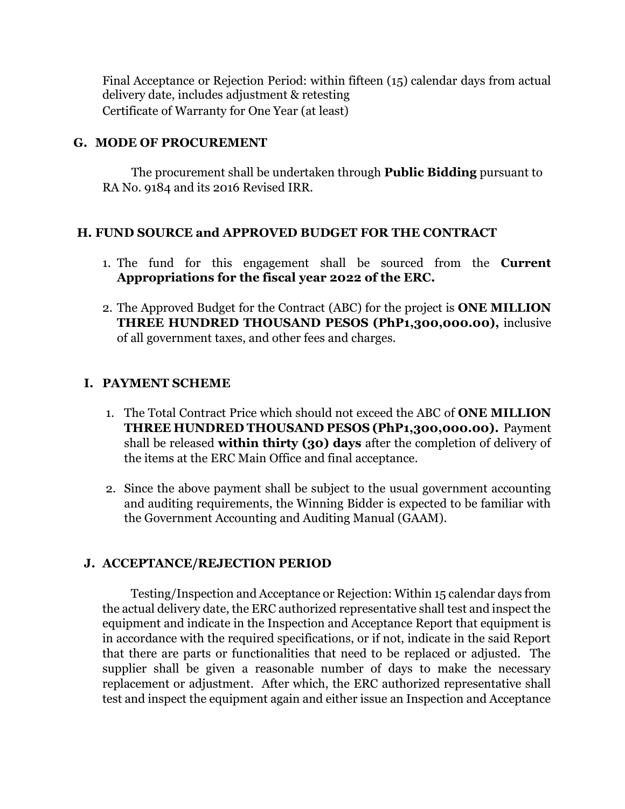Final Acceptance or Rejection Period: within fifteen (15) calendar days from actual delivery date, includes adjustment & retesting Certificate of Warranty for One Year (at least)

### **G. MODE OF PROCUREMENT**

The procurement shall be undertaken through **Public Bidding** pursuant to RA No. 9184 and its 2016 Revised IRR.

### **H. FUND SOURCE and APPROVED BUDGET FOR THE CONTRACT**

- 1. The fund for this engagement shall be sourced from the **Current Appropriations for the fiscal year 2022 of the ERC.**
- 2. The Approved Budget for the Contract (ABC) for the project is **ONE MILLION THREE HUNDRED THOUSAND PESOS (PhP1,300,000.00),** inclusive of all government taxes, and other fees and charges.

### **I. PAYMENT SCHEME**

- 1. The Total Contract Price which should not exceed the ABC of **ONE MILLION THREE HUNDRED THOUSAND PESOS (PhP1,300,000.00).** Payment shall be released **within thirty (30) days** after the completion of delivery of the items at the ERC Main Office and final acceptance.
- 2. Since the above payment shall be subject to the usual government accounting and auditing requirements, the Winning Bidder is expected to be familiar with the Government Accounting and Auditing Manual (GAAM).

#### **J. ACCEPTANCE/REJECTION PERIOD**

Testing/Inspection and Acceptance or Rejection: Within 15 calendar days from the actual delivery date, the ERC authorized representative shall test and inspect the equipment and indicate in the Inspection and Acceptance Report that equipment is in accordance with the required specifications, or if not, indicate in the said Report that there are parts or functionalities that need to be replaced or adjusted. The supplier shall be given a reasonable number of days to make the necessary replacement or adjustment. After which, the ERC authorized representative shall test and inspect the equipment again and either issue an Inspection and Acceptance